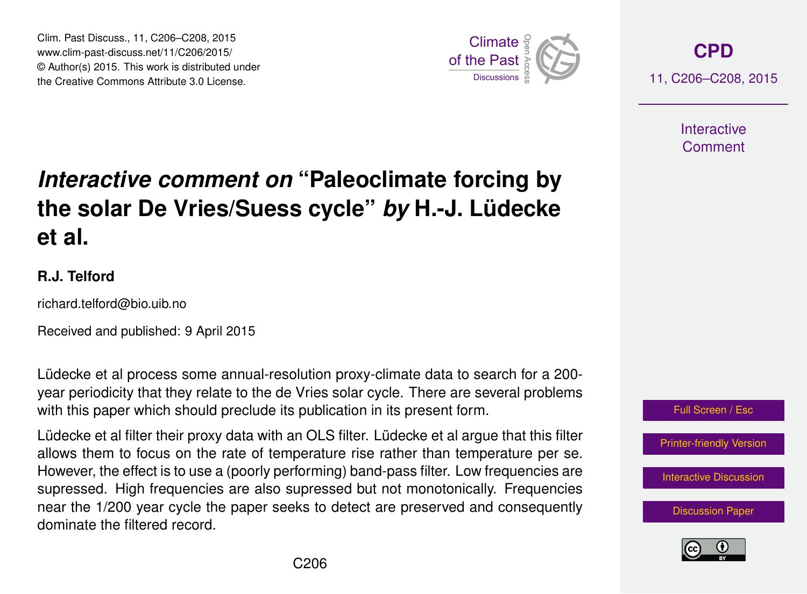Clim. Past Discuss., 11, C206–C208, 2015 www.clim-past-discuss.net/11/C206/2015/ © Author(s) 2015. This work is distributed under Clim. Past Discuss., 11, C206–C208, 2015<br>www.clim-past-discuss.net/11/C206/2015/<br>© Author(s) 2015. This work is distributed under<br>the Creative Commons Attribute 3.0 License.



**[CPD](http://www.clim-past-discuss.net)** 11, C206–C208, 2015

> **Interactive** Comment

## *Interactive comment on* **"Paleoclimate forcing by the solar De Vries/Suess cycle"** *by* **H.-J. Lüdecke et al.**

## **R.J. Telford**

richard.telford@bio.uib.no

Received and published: 9 April 2015

Lüdecke et al process some annual-resolution proxy-climate data to search for a 200 year periodicity that they relate to the de Vries solar cycle. There are several problems with this paper which should preclude its publication in its present form.

Lüdecke et al filter their proxy data with an OLS filter. Lüdecke et al argue that this filter allows them to focus on the rate of temperature rise rather than temperature per se. However, the effect is to use a (poorly performing) band-pass filter. Low frequencies are supressed. High frequencies are also supressed but not monotonically. Frequencies near the 1/200 year cycle the paper seeks to detect are preserved and consequently dominate the filtered record.



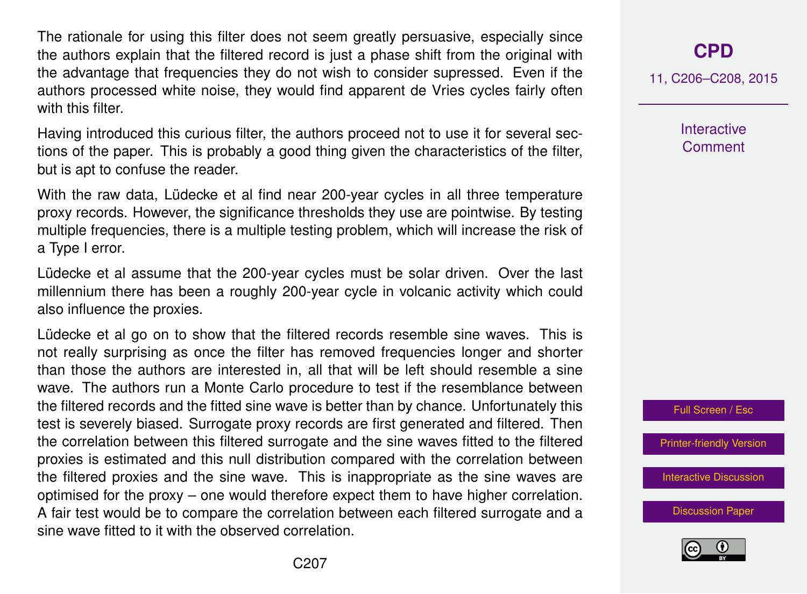The rationale for using this filter does not seem greatly persuasive, especially since the authors explain that the filtered record is just a phase shift from the original with the advantage that frequencies they do not wish to consider supressed. Even if the authors processed white noise, they would find apparent de Vries cycles fairly often with this filter.

Having introduced this curious filter, the authors proceed not to use it for several sections of the paper. This is probably a good thing given the characteristics of the filter, but is apt to confuse the reader.

With the raw data, Lüdecke et al find near 200-year cycles in all three temperature proxy records. However, the significance thresholds they use are pointwise. By testing multiple frequencies, there is a multiple testing problem, which will increase the risk of a Type I error.

Lüdecke et al assume that the 200-year cycles must be solar driven. Over the last millennium there has been a roughly 200-year cycle in volcanic activity which could also influence the proxies.

Lüdecke et al go on to show that the filtered records resemble sine waves. This is not really surprising as once the filter has removed frequencies longer and shorter than those the authors are interested in, all that will be left should resemble a sine wave. The authors run a Monte Carlo procedure to test if the resemblance between the filtered records and the fitted sine wave is better than by chance. Unfortunately this test is severely biased. Surrogate proxy records are first generated and filtered. Then the correlation between this filtered surrogate and the sine waves fitted to the filtered proxies is estimated and this null distribution compared with the correlation between the filtered proxies and the sine wave. This is inappropriate as the sine waves are optimised for the proxy – one would therefore expect them to have higher correlation. A fair test would be to compare the correlation between each filtered surrogate and a sine wave fitted to it with the observed correlation.

**[CPD](http://www.clim-past-discuss.net)**

11, C206–C208, 2015

**Interactive Comment** 

Full Screen / Esc

[Printer-friendly Version](http://www.clim-past-discuss.net/11/C206/2015/cpd-11-C206-2015-print.pdf)

[Interactive Discussion](http://www.clim-past-discuss.net/11/279/2015/cpd-11-279-2015-discussion.html)

[Discussion Paper](http://www.clim-past-discuss.net/11/279/2015/cpd-11-279-2015.pdf)